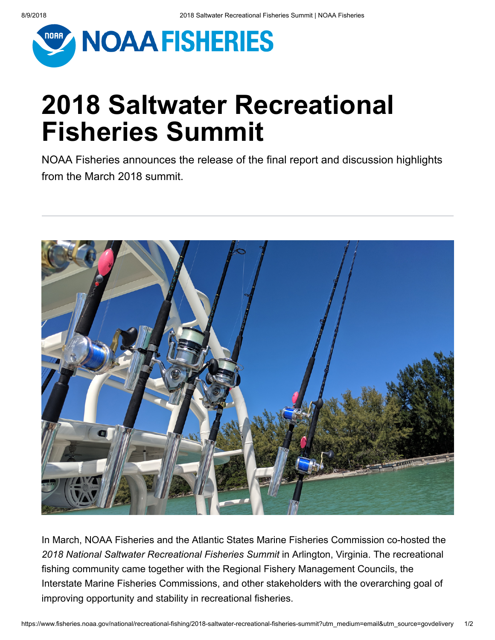

Informational Report 3 September 2018

## **2018 Saltwater Recreational Fisheries Summit**

NOAA Fisheries announces the release of the final report and discussion highlights from the March 2018 summit.



In March, NOAA Fisheries and the Atlantic States Marine Fisheries Commission co-hosted the *2018 National Saltwater Recreational Fisheries Summit* in Arlington, Virginia. The recreational fishing community came together with the Regional Fishery Management Councils, the Interstate Marine Fisheries Commissions, and other stakeholders with the overarching goal of improving opportunity and stability in recreational fisheries.